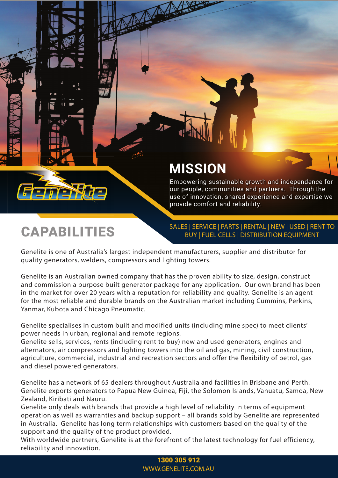# **MISSION**

Empowering sustainable growth and independence for our people, communities and partners. Through the use of innovation, shared experience and expertise we provide comfort and reliability.

# **CAPABILITIES**

SALES | SERVICE | PARTS | RENTAL | NEW | USED | RENT TO BUY | FUEL CELLS | DISTRIBUTION EQUIPMENT

Genelite is one of Australia's largest independent manufacturers, supplier and distributor for quality generators, welders, compressors and lighting towers.

Genelite is an Australian owned company that has the proven ability to size, design, construct and commission a purpose built generator package for any application. Our own brand has been in the market for over 20 years with a reputation for reliability and quality. Genelite is an agent for the most reliable and durable brands on the Australian market including Cummins, Perkins, Yanmar, Kubota and Chicago Pneumatic.

Genelite specialises in custom built and modified units (including mine spec) to meet clients' power needs in urban, regional and remote regions.

Genelite sells, services, rents (including rent to buy) new and used generators, engines and alternators, air compressors and lighting towers into the oil and gas, mining, civil construction, agriculture, commercial, industrial and recreation sectors and offer the flexibility of petrol, gas and diesel powered generators.

Genelite has a network of 65 dealers throughout Australia and facilities in Brisbane and Perth. Genelite exports generators to Papua New Guinea, Fiji, the Solomon Islands, Vanuatu, Samoa, New Zealand, Kiribati and Nauru.

Genelite only deals with brands that provide a high level of reliability in terms of equipment operation as well as warranties and backup support – all brands sold by Genelite are represented in Australia. Genelite has long term relationships with customers based on the quality of the support and the quality of the product provided.

With worldwide partners, Genelite is at the forefront of the latest technology for fuel efficiency, reliability and innovation.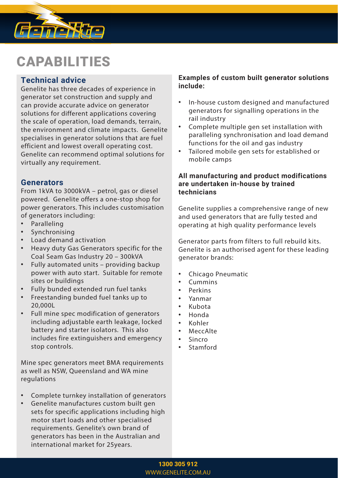

# CAPABILITIES

## **Technical advice**

Genelite has three decades of experience in generator set construction and supply and can provide accurate advice on generator solutions for different applications covering the scale of operation, load demands, terrain, the environment and climate impacts. Genelite specialises in generator solutions that are fuel efficient and lowest overall operating cost. Genelite can recommend optimal solutions for virtually any requirement.

### **Generators**

From 1kVA to 3000kVA – petrol, gas or diesel powered. Genelite offers a one-stop shop for power generators. This includes customisation of generators including:

- **Paralleling**
- **Synchronising**
- Load demand activation
- Heavy duty Gas Generators specific for the Coal Seam Gas Industry 20 – 300kVA
- Fully automated units providing backup power with auto start. Suitable for remote sites or buildings
- Fully bunded extended run fuel tanks
- Freestanding bunded fuel tanks up to 20,000L
- Full mine spec modification of generators including adjustable earth leakage, locked battery and starter isolators. This also includes fire extinguishers and emergency stop controls.

Mine spec generators meet BMA requirements as well as NSW, Queensland and WA mine regulations

- Complete turnkey installation of generators
- Genelite manufactures custom built gen sets for specific applications including high motor start loads and other specialised requirements. Genelite's own brand of generators has been in the Australian and international market for 25years.

#### **Examples of custom built generator solutions include:**

- In-house custom designed and manufactured generators for signalling operations in the rail industry
- Complete multiple gen set installation with paralleling synchronisation and load demand functions for the oil and gas industry
- Tailored mobile gen sets for established or mobile camps

#### **All manufacturing and product modifications are undertaken in-house by trained technicians**

 Genelite supplies a comprehensive range of new and used generators that are fully tested and operating at high quality performance levels

 Generator parts from filters to full rebuild kits. Genelite is an authorised agent for these leading generator brands:

- Chicago Pneumatic
- Cummins
- Perkins
- Yanmar
- Kubota
- Honda
- Kohler
- **MeccAlte**
- Sincro
- **Stamford**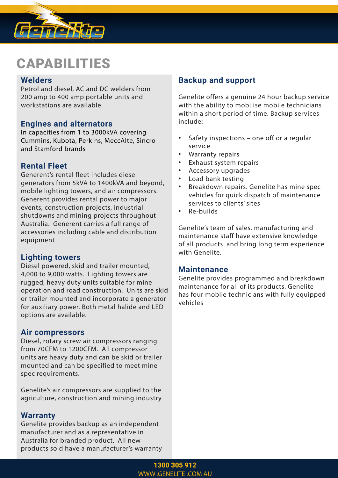

# **CAPABILITIES**

### **Welders**

Petrol and diesel, AC and DC welders from 200 amp to 400 amp portable units and workstations are available.

## **Engines and alternators**

In capacities from 1 to 3000kVA covering Cummins, Kubota, Perkins, MeccAlte, Sincro and Stamford brands

## **Rental Fleet**

Generent's rental fleet includes diesel generators from 5kVA to 1400kVA and beyond, mobile lighting towers, and air compressors. Generent provides rental power to major events, construction projects, industrial shutdowns and mining projects throughout Australia. Generent carries a full range of accessories including cable and distribution equipment

### **Lighting towers**

Diesel powered, skid and trailer mounted, 4,000 to 9,000 watts. Lighting towers are rugged, heavy duty units suitable for mine operation and road construction. Units are skid or trailer mounted and incorporate a generator for auxiliary power. Both metal halide and LED options are available.

#### **Air compressors**

Diesel, rotary screw air compressors ranging from 70CFM to 1200CFM. All compressor units are heavy duty and can be skid or trailer mounted and can be specified to meet mine spec requirements.

Genelite's air compressors are supplied to the agriculture, construction and mining industry

### **Warranty**

Genelite provides backup as an independent manufacturer and as a representative in Australia for branded product. All new products sold have a manufacturer's warranty

## **Backup and support**

Genelite offers a genuine 24 hour backup service with the ability to mobilise mobile technicians within a short period of time. Backup services include:

- Safety inspections one off or a regular service
- Warranty repairs
- Exhaust system repairs
- Accessory upgrades
- Load bank testing
- Breakdown repairs. Genelite has mine spec vehicles for quick dispatch of maintenance services to clients' sites
- Re-builds

Genelite's team of sales, manufacturing and maintenance staff have extensive knowledge of all products and bring long term experience with Genelite.

### **Maintenance**

Genelite provides programmed and breakdown maintenance for all of its products. Genelite has four mobile technicians with fully equipped vehicles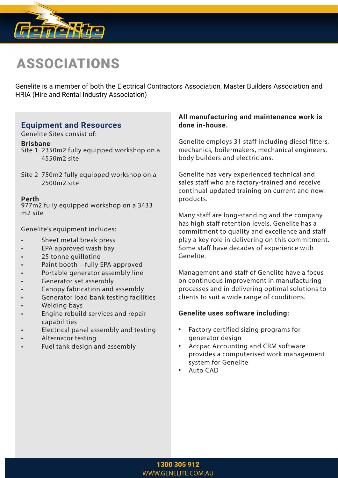

# ASSOCIATIONS

Genelite is a member of both the Electrical Contractors Association, Master Builders Association and HRIA (Hire and Rental Industry Association)

## **Equipment and Resources**

Genelite Sites consist of:

#### **Brisbane**

- Site 1 2350m2 fully equipped workshop on a 4550m2 site
- Site 2 750m2 fully equipped workshop on a 2500m2 site

#### **Perth**

977m2 fully equipped workshop on a 3433 m2 site

Genelite's equipment includes:

- Sheet metal break press
- EPA approved wash bay
- 25 tonne guillotine
- Paint booth fully EPA approved
- Portable generator assembly line
- Generator set assembly
- Canopy fabrication and assembly
- Generator load bank testing facilities
- Welding bays
- Engine rebuild services and repair capabilities
- Electrical panel assembly and testing
- Alternator testing
- Fuel tank design and assembly

#### **All manufacturing and maintenance work is done in-house.**

Genelite employs 31 staff including diesel fitters, mechanics, boilermakers, mechanical engineers, body builders and electricians.

Genelite has very experienced technical and sales staff who are factory-trained and receive continual updated training on current and new products.

Many staff are long-standing and the company has high staff retention levels. Genelite has a commitment to quality and excellence and staff play a key role in delivering on this commitment. Some staff have decades of experience with Genelite.

Management and staff of Genelite have a focus on continuous improvement in manufacturing processes and in delivering optimal solutions to clients to suit a wide range of conditions.

#### **Genelite uses software including:**

- Factory certified sizing programs for generator design
- Accpac Accounting and CRM software provides a computerised work management system for Genelite
- Auto CAD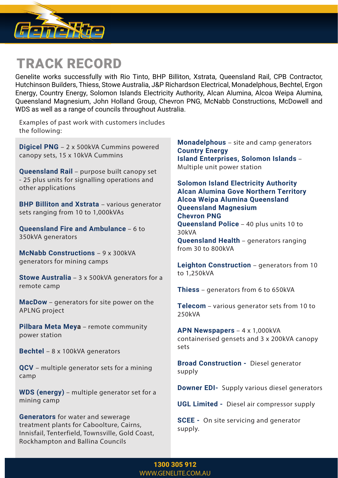

# TRACK RECORD

Genelite works successfully with Rio Tinto, BHP Billiton, Xstrata, Queensland Rail, CPB Contractor, Hutchinson Builders, Thiess, Stowe Australia, J&P Richardson Electrical, Monadelphous, Bechtel, Ergon Energy, Country Energy, Solomon Islands Electricity Authority, Alcan Alumina, Alcoa Weipa Alumina, Queensland Magnesium, John Holland Group, Chevron PNG, McNabb Constructions, McDowell and WDS as well as a range of councils throughout Australia.

Examples of past work with customers includes the following:

**Digicel PNG** – 2 x 500kVA Cummins powered canopy sets, 15 x 10kVA Cummins

**Queensland Rail** – purpose built canopy set - 25 plus units for signalling operations and other applications

**BHP Billiton and Xstrata** - various generator sets ranging from 10 to 1,000kVAs

**Queensland Fire and Ambulance** – 6 to 350kVA generators

**McNabb Constructions** – 9 x 300kVA generators for mining camps

**Stowe Australia** – 3 x 500kVA generators for a remote camp

**MacDow** – generators for site power on the APLNG project

**Pilbara Meta Meya** – remote community power station

**Bechtel** – 8 x 100kVA generators

**QCV** – multiple generator sets for a mining camp

**WDS (energy)** – multiple generator set for a mining camp

**Generators** for water and sewerage treatment plants for Caboolture, Cairns, Innisfail, Tenterfield, Townsville, Gold Coast, Rockhampton and Ballina Councils

**Monadelphous** – site and camp generators **Country Energy Island Enterprises, Solomon Islands** – Multiple unit power station

**Solomon Island Electricity Authority Alcan Alumina Gove Northern Territory Alcoa Weipa Alumina Queensland Queensland Magnesium Chevron PNG Queensland Police** – 40 plus units 10 to 30kVA **Queensland Health** – generators ranging

from 30 to 800kVA

**Leighton Construction** – generators from 10 to 1,250kVA

**Thiess** – generators from 6 to 650kVA

**Telecom** – various generator sets from 10 to 250kVA

**APN Newspapers** – 4 x 1,000kVA containerised gensets and 3 x 200kVA canopy sets

**Broad Construction -** Diesel generator supply

**Downer EDI-** Supply various diesel generators

**UGL Limited -** Diesel air compressor supply

**SCEE -** On site servicing and generator supply.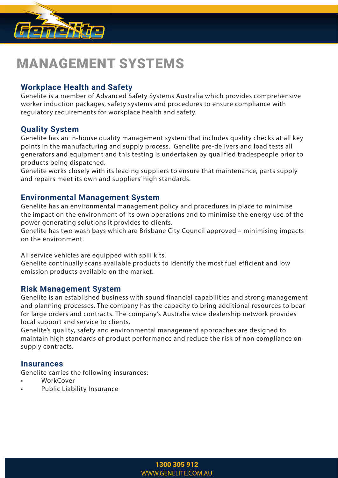

# MANAGEMENT SYSTEMS

## **Workplace Health and Safety**

Genelite is a member of Advanced Safety Systems Australia which provides comprehensive worker induction packages, safety systems and procedures to ensure compliance with regulatory requirements for workplace health and safety.

## **Quality System**

Genelite has an in-house quality management system that includes quality checks at all key points in the manufacturing and supply process. Genelite pre-delivers and load tests all generators and equipment and this testing is undertaken by qualified tradespeople prior to products being dispatched.

Genelite works closely with its leading suppliers to ensure that maintenance, parts supply and repairs meet its own and suppliers' high standards.

### **Environmental Management System**

Genelite has an environmental management policy and procedures in place to minimise the impact on the environment of its own operations and to minimise the energy use of the power generating solutions it provides to clients.

Genelite has two wash bays which are Brisbane City Council approved – minimising impacts on the environment.

All service vehicles are equipped with spill kits.

Genelite continually scans available products to identify the most fuel efficient and low emission products available on the market.

### **Risk Management System**

Genelite is an established business with sound financial capabilities and strong management and planning processes. The company has the capacity to bring additional resources to bear for large orders and contracts. The company's Australia wide dealership network provides local support and service to clients.

Genelite's quality, safety and environmental management approaches are designed to maintain high standards of product performance and reduce the risk of non compliance on supply contracts.

### **Insurances**

Genelite carries the following insurances:

- **WorkCover**
- Public Liability Insurance